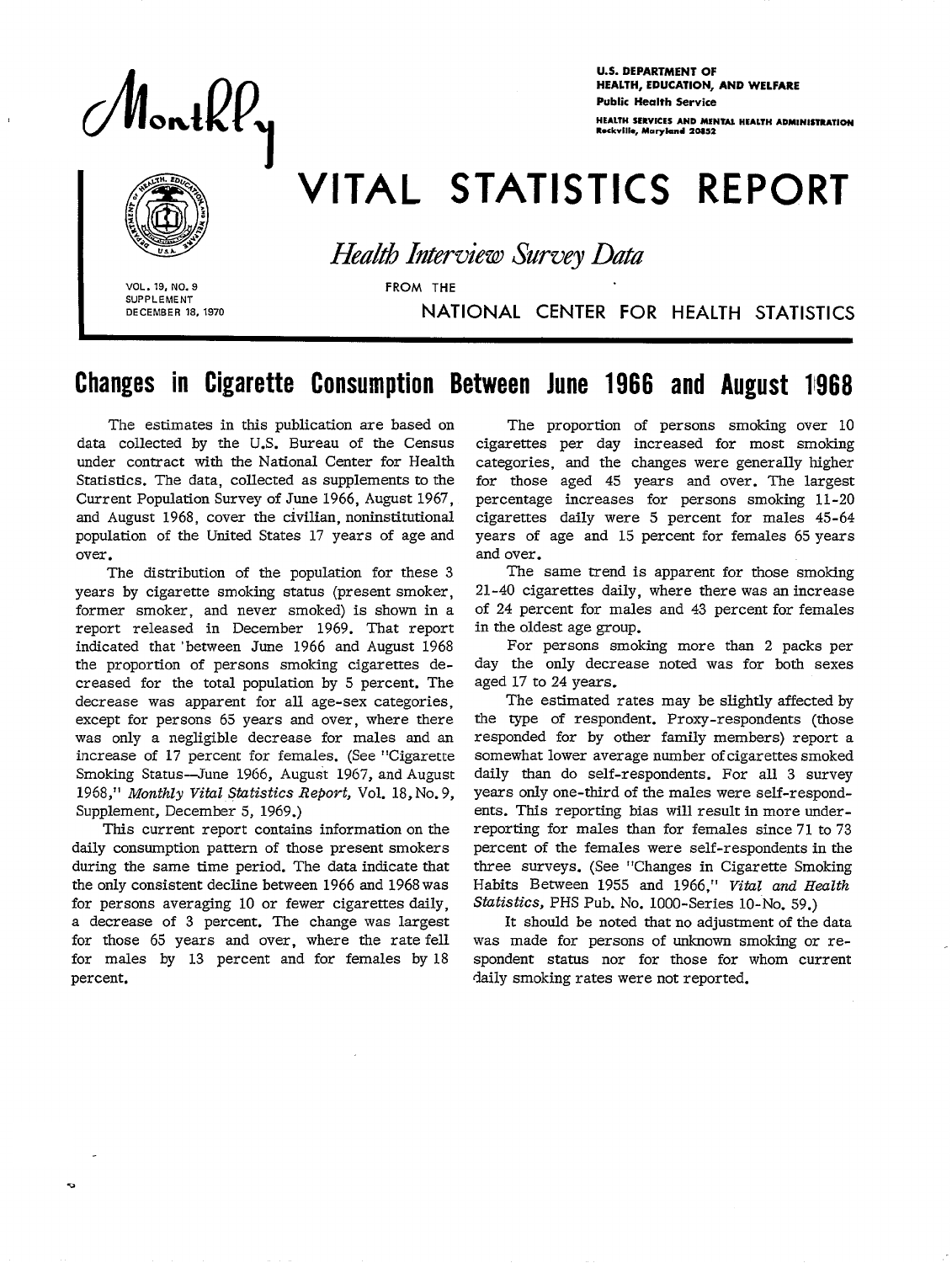**Public Health Service**<br>Public Health Service<br>Reaction Services AND MENTAL SERVICES AND MENTAL SERVICES AND MENTAL SERVICES AND MENTAL SERVICES AND MENTAL HEALTH

**U.S. DEPARTMENT OF** HEALTH, EDUCATION, AND WELFARE **HEALTH SERVICES AND MENTAL HEALTH ADMINISTRATION**<br>Reckville, Maryland 20852

# VITAL STATISTICS REPORT

**Health Interview Survey Data** 

**VOL. 19, NO. 9** FROM THE **SUPPLEMENT**<br>DECEMBER 18, 1970

I

## **DECEMBER 18, 1970** NATIONAL CENTER FOR HEALTH STATISTICS

# Changes in Cigarette Consumption Between June 1966 and August 11968

The estimates in this publication are based on data collected by the U.S. Bureau of the Census under contract with the National Center for Health Statistics. The data, collected as supplements to the Current Population Survey of June 1966, August 1967, and August 1968, cover the civilian, noninstitutional population of the United States 17 years of age and over.

The distribution of the population for these 3 years by cigarette smoking status (present smoker, former smoker, and never smoked) is shown in a report released in December 1969. That report indicated that 'between June 1966 and August 1968 the proportion of persons smoking cigarettes decreased for the total population by 5 percent. The decrease was apparent for all age-sex categories, except for persons 65 years and over, where there was only a negligible decrease for males and an increase of 17 percent for females. (See "Cigarette Smoking Status-June 1966, August 1967, and August 1968," *Monthly Vital Statistics Repovt,* Vol. 18, No. 9, Supplement, December 5, 1969.)

This current report contains information on the daily consumption pattern of those present smokers during the same time period. The data indicate that the only consistent decline between 1966 and 1968 was for persons averaging 10 or fewer cigarettes daily, a decrease of 3 percent. The change was largest for those 65 years and over, where the rate fell for males by 13 percent and for females by 18 percent.

The proportion of persons smoking over 10 cigarettes per day increased for most smoking categories, and the changes were generally higher for those aged 45 years and over. The largest percentage increases for persons smoking 11-20 cigarettes daily were 5 percent for males 45-64 years of age and 15 percent for females 65 years and over.

The same trend is apparent for those smoking 21-40 cigarettes daily, where there was an increase of 24 percent for males and 43 percent for females in the oldest age group.

For persons smoking more than 2 packs per day the only decrease noted was for both sexes aged 17 to 24 years.

The estimated rates may be slightly affected by the type of respondent. Proxy-respondents (those responded for by other family members) report a somewhat lower average number of cigarettes smoked daily than do self-respondents. For all 3 survey years only one-third of the males were self-respondents. This reporting bias will result in more underreporting for males than for females since 71 to 73 percent of the females were self-respondents in the three surveys. (See "Changes in Cigarette Smoking Habits Between 1955 and 1966," *Vital and Health statistics,* PHS Pub. No. 1000-Series 10-NO, 59.)

It should be noted that no adjustment of the data was made for persons of unknown smoking or respondent status nor for those for whom current daily smoking rates were not reported.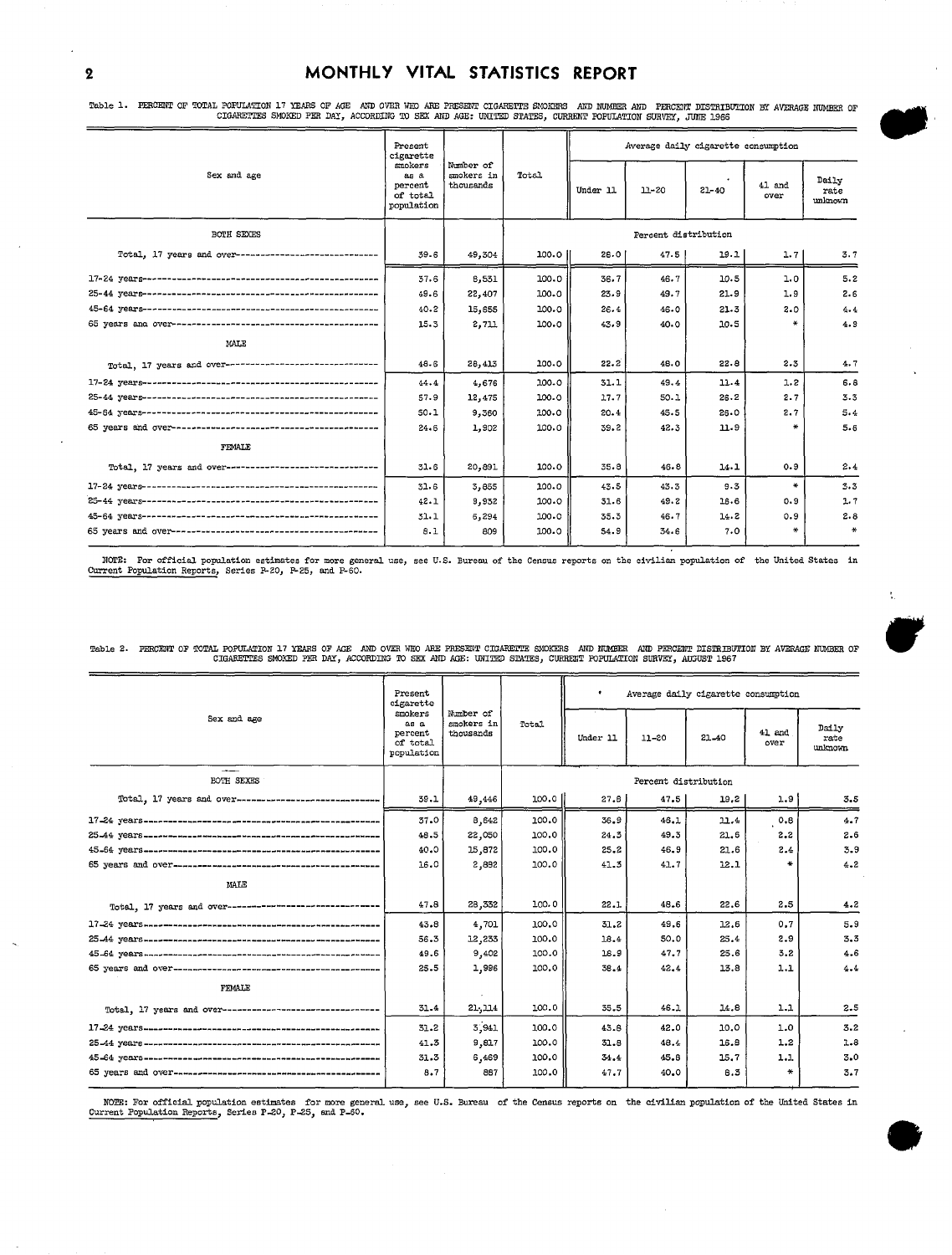#### 2 MONTHLY VITAL STATISTICS REPORT

Table 1. FERCENT OF TOTAL POFULATION 17 YEARS OF AGE AND OVER WHO ARE PRESENT CIGARETTE SMOKERS AND NUMBER AND FERCENT DISTRIBUTION BY AVERAGE NUMBER OF<br>CIGARETTES SMOKED PER DAY, ACCORDING TO SEX AND AGE: UNITED STATES, C

|                                                           | Present<br>cigarette                                | Number of<br>smokers in<br>thousands | Total | Average daily cigarette consumption |           |           |                |                          |
|-----------------------------------------------------------|-----------------------------------------------------|--------------------------------------|-------|-------------------------------------|-----------|-----------|----------------|--------------------------|
| Sex and age                                               | smokers<br>88A<br>percent<br>of total<br>population |                                      |       | Under 11                            | $11 - 20$ | $21 - 40$ | 41 and<br>over | Daily<br>rate<br>unknown |
| <b>BOTH SEXES</b>                                         |                                                     |                                      |       | Percent distribution                |           |           |                |                          |
| Total, 17 years and over-------------------------------   | 39.6                                                | 49,304                               | 100.0 | 28.0                                | 47.5      | 19.1      | 1.7            | 3.7                      |
|                                                           | 37.6                                                | 6,531                                | 100.0 | 36.7                                | 46.7      | 10.5      | 1.0            | 5.2                      |
|                                                           | 49.6                                                | 22,407                               | 100.0 | 23.9                                | 49.7      | 21.9      | 1.9            | 2.6                      |
|                                                           | 40.2                                                | 15,655                               | 100.0 | 26.4                                | 46.0      | 21.3      | 2.0            | 4.4                      |
|                                                           | 15.3                                                | 2,711                                | 100.0 | 43.9                                | 40.0      | 10.5      | ₩              | 4.9                      |
| MALE                                                      |                                                     |                                      |       |                                     |           |           |                |                          |
| Total, 17 years and over--------------------------------- | 48.6                                                | 28,413                               | 100.0 | 22.2                                | 48.0      | 22.8      | 2.3            | 4.7                      |
|                                                           | 44.4                                                | 4.676                                | 100.0 | 31.1                                | 49.4      | 11.4      | 1.2            | 6.8                      |
|                                                           | 57.9                                                | 12, 475                              | 100.0 | 17.7                                | 50.1      | 26.2      | 2.7            | 3.3                      |
|                                                           | 50.1                                                | 9,360                                | 100.0 | 20.4                                | 45.5      | 26.0      | 2.7            | 5.4                      |
|                                                           | 24.6                                                | 1.902                                | 100.0 | 39.2                                | 42.3      | 11.9      | $\frac{1}{2}$  | 5.6                      |
| FEMALE                                                    |                                                     |                                      |       |                                     |           |           |                |                          |
| Total, 17 years and over-------------------------------   | 31.6                                                | 20,891                               | 100.0 | 35.8                                | 46.8      | $14 - 1$  | 0.9            | 2.4                      |
|                                                           | 31.6                                                | 3,855                                | 100.0 | 43.5                                | 43.3      | 9.3       | ₩              | 3.3                      |
|                                                           | 42.1                                                | 9,932                                | 100.0 | 31.6                                | 49.2      | 16.6      | 0.9            | 1.7                      |
|                                                           | 31.1                                                | 6.294                                | 100.0 | 35.3                                | 46.7      | 14.2      | 0.9            | 2.8                      |
|                                                           | 8.1                                                 | 809                                  | 100.0 | 54.9                                | 34.6      | 7.0       | ÷              | *                        |

Table 2. PERCENT OF TOTAL POPULATION 17 YEARS OF AGE AND OVER WHO ARE PRESENT CIGARETTE SMOKERS AND NUMBER AND PERCENT DISTRIBUTION BY AVERAGE NUMBER OF THE CIGARETTES SMOKED PER DAY, ACCORDING TO SEX AND AGE: UNITED STATE

|                                                                                                                                                                                                                    | Present<br>cigarette<br>smokers<br>as a<br>percent<br>of total<br>population | Mumber of<br>smokers in<br>thousands | Total  | $\bullet$<br>Average daily cigarette consumption |           |       |                |                          |
|--------------------------------------------------------------------------------------------------------------------------------------------------------------------------------------------------------------------|------------------------------------------------------------------------------|--------------------------------------|--------|--------------------------------------------------|-----------|-------|----------------|--------------------------|
| Sex and age                                                                                                                                                                                                        |                                                                              |                                      |        | Under 11                                         | $11 - 20$ | 21-40 | 41 and<br>over | Daily<br>rate<br>unknown |
| ----<br>BOTH SEXES                                                                                                                                                                                                 |                                                                              |                                      |        | Percent distribution                             |           |       |                |                          |
| Total, 17 years and over------------------------------                                                                                                                                                             | 39.1                                                                         | 49,446                               | 100.01 | 27.8                                             | 47.5      | 19.2  | 1.9            | 3.5                      |
|                                                                                                                                                                                                                    | 37.0                                                                         | 8,642                                | 100.0  | 36.9                                             | 46.1      | 11.4  | 0.8            | 4.7                      |
|                                                                                                                                                                                                                    | 48.5                                                                         | 22,050                               | 100.0  | 24.3                                             | 49.3      | 21.6  | 2.2            | 2.6                      |
|                                                                                                                                                                                                                    | 40.0                                                                         | 15,872                               | 100.0  | 25.2                                             | 46.9      | 21.6  | 2.4            | 3.9                      |
|                                                                                                                                                                                                                    | 16.0                                                                         | 2,882                                | 100.0  | 41.3                                             | 41.7      | 12.1  |                | 4.2                      |
| MALE                                                                                                                                                                                                               |                                                                              |                                      |        |                                                  |           |       |                |                          |
| Total, 17 years and over--------------------------------                                                                                                                                                           | 47.8                                                                         | 28,332                               | 100.0  | 22.1                                             | 48.6      | 22.6  | 2.5            | 4.2                      |
|                                                                                                                                                                                                                    | 43.8                                                                         | 4,701                                | 100.0  | 31.2                                             | 49.6      | 12.6  | 0.7            | 5.9                      |
|                                                                                                                                                                                                                    | 56.3                                                                         | 12,233                               | 100.0  | 18.4                                             | 50.0      | 25.4  | 2.9            | 3,3                      |
|                                                                                                                                                                                                                    | 49.6                                                                         | 9,402                                | 100.0  | 18.9                                             | 47.7      | 25.6  | 3.2            | 4.6                      |
|                                                                                                                                                                                                                    | 25.5                                                                         | 1,996                                | 100.0  | 38.4                                             | 42.4      | 13.8  | 1.1            | 4.4                      |
| FEMALE                                                                                                                                                                                                             |                                                                              |                                      |        |                                                  |           |       |                |                          |
| Total, 17 years and over---------------------------------                                                                                                                                                          | 31.4                                                                         | 21,114                               | 100.0  | 35.5                                             | 46.1      | 14.8  | 1.1            | 2.5                      |
|                                                                                                                                                                                                                    | 31.2                                                                         | 3,941                                | 100.0  | 43.6                                             | 42.0      | 10.0  | 1.0            | 3.2                      |
|                                                                                                                                                                                                                    | 41.3                                                                         | 9,817                                | 100.0  | 31.8                                             | 48.4      | 16.8  | 1,2            | 1.8                      |
|                                                                                                                                                                                                                    | 31.3                                                                         | 6,469                                | 100.0  | 34.4                                             | 45.8      | 15.7  | 1.1            | 3.0                      |
|                                                                                                                                                                                                                    | 8.7                                                                          | 887                                  | 100.0  | 47.7                                             | 40.0      | 8.3   |                | 3.7                      |
| NOTE: For official population estimates for more general use, see U.S. Bureau of the Census reports on the civilian population of the United States in<br>Current Population Reports, Series P-20, P-25, and P-60. |                                                                              |                                      |        |                                                  |           |       |                |                          |



 $\frac{1}{2}$ 

m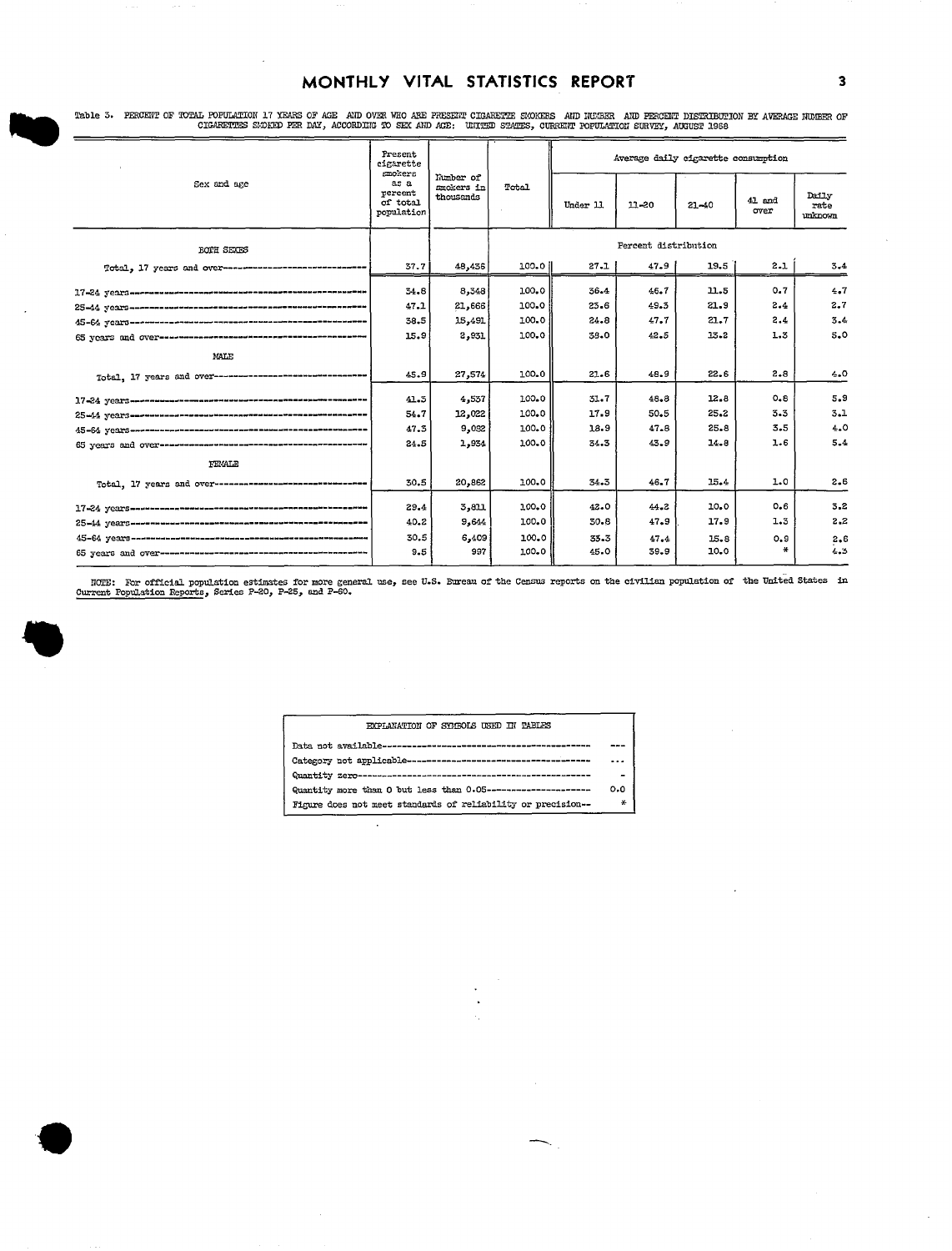### MONTHLY VITAL STATISTICS REPORT

Table 3. PERCENT OF TOTAL POFULATION 17 YEARS OF AGE AND OVER WHO ARE FRESENT CIGARETTE SUCKERS AND HUGER AND PERCENT DISTRIBUTION BY AVERAGE NUGER OF TABLE AND ACTORDING TO SEX AND AGE: UNITED STATES, CURRENT POFULATION S

|                                                                          | Present<br>cinarette<br>smokers           |                                      |          | Average daily cigarette consumption |           |           |                  |                          |
|--------------------------------------------------------------------------|-------------------------------------------|--------------------------------------|----------|-------------------------------------|-----------|-----------|------------------|--------------------------|
| Sex and age                                                              | as a<br>percent<br>of total<br>population | Number of<br>smokers in<br>thousands | Total    | Under 11                            | $11 - 20$ | $21 - 40$ | $41$ and<br>over | Daily<br>rate<br>unknown |
| <b>BOTH SEXES</b>                                                        |                                           |                                      |          | Percent distribution                |           |           |                  |                          |
| Total. 17 years and over------------------------------                   | 37.7                                      | 48,436                               | 100.O II | 27.1                                | 47.9      | 19.5      | $2 - 1$          | 3.4                      |
| 17-24 years-research-creates-announce-announce-announce                  | 34.8                                      | 8,348                                | 100.0    | 36.4                                | 46.7      | 11.5      | 0.7              | 4.7                      |
|                                                                          | 47.1                                      | 21,666                               | 100.0    | $23 - 6$                            | 49.5      | 21.9      | 2.4              | 2.7                      |
|                                                                          | 38.5                                      | 15,491                               | 100.0    | 24.8                                | 47.7      | 21.7      | 2.4              | 3.4                      |
|                                                                          | 15.9                                      | 2,931                                | 100.0    | 38.0                                | 42.5      | 13.2      | 1.3              | 5.0                      |
| MALE                                                                     |                                           |                                      |          |                                     |           |           |                  |                          |
| Total, 17 years and over---------------------------------                | 45.9                                      | 27,574                               | 100.0    | 21.6                                | 48.9      | 22.6      | $2 - 8$          | 4.0                      |
|                                                                          | 41.5                                      | 4,537                                | 100.0    | 31.7                                | 48.8      | 12.8      | $0 - 8$          | 5.9                      |
|                                                                          | 54.7                                      | 12,022                               | 100.0    | 17.9                                | 50.5      | 25.2      | 3.3              | 3.1                      |
|                                                                          | 47.5                                      | 9,082                                | 100.0    | 18.9                                | 47.8      | 25.8      | 3.5              | 4.0                      |
|                                                                          | 24.5                                      | 1,954                                | 100.0    | 34.3                                | 43.9      | 14.8      | 1.6              | 5.4                      |
| FEMALE                                                                   |                                           |                                      |          |                                     |           |           |                  |                          |
| Total, 17 years and over--------------------------------                 | 30.5                                      | 20,862                               | 100.0    | 34.3                                | 46.7      | 15.4      | 1.0              | 2.6                      |
|                                                                          | 29.4                                      | 3,811                                | 100.0    | 42.0                                | $44 - 2$  | 10.0      | 0.6              | 3,2                      |
|                                                                          | 40.2                                      | 9,614                                | 100.0    | 30-8                                | 47.9      | 17.9      | 1.3              | 2,2                      |
| 45-64 уездания на полности по только просто по только по только политины | 30.5                                      | 6,409                                | 100.0    | 33.3                                | 47.4      | 15.8      | 0, 9             | $2 - 6$                  |
|                                                                          | 9.5                                       | 997                                  | 100.0    | 45.0                                | 39.9      | 10.0      |                  | 4.3                      |
|                                                                          |                                           |                                      |          |                                     |           |           |                  |                          |

NOTE: For official population estimates for more general use, see U.S. Eureau of the Census reports on the civilian population of the United States in Current Population Reports, Series P-20, P-25, and P-60.



#### EXPLANATION OF SYMBOLS USED IN TABLES

 $\ddot{\phantom{a}}$ 

|                                                               | $- - -$ |
|---------------------------------------------------------------|---------|
|                                                               |         |
| Quantity more than 0 but less than 0.05---------------------  | 0.0     |
| Figure does not meet standards of reliability or precision -- | ₩       |